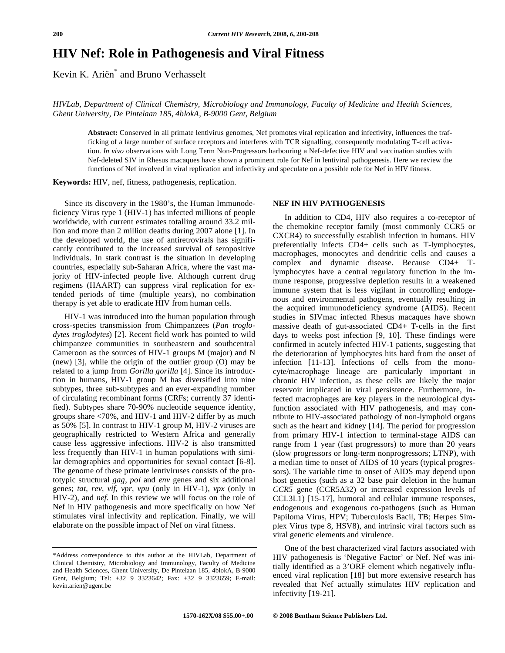# **HIV Nef: Role in Pathogenesis and Viral Fitness**

Kevin K. Ariën\* and Bruno Verhasselt

*HIVLab, Department of Clinical Chemistry, Microbiology and Immunology, Faculty of Medicine and Health Sciences, Ghent University, De Pintelaan 185, 4blokA, B-9000 Gent, Belgium* 

**Abstract:** Conserved in all primate lentivirus genomes, Nef promotes viral replication and infectivity, influences the trafficking of a large number of surface receptors and interferes with TCR signalling, consequently modulating T-cell activation. *In vivo* observations with Long Term Non-Progressors harbouring a Nef-defective HIV and vaccination studies with Nef-deleted SIV in Rhesus macaques have shown a prominent role for Nef in lentiviral pathogenesis. Here we review the functions of Nef involved in viral replication and infectivity and speculate on a possible role for Nef in HIV fitness.

**Keywords:** HIV, nef, fitness, pathogenesis, replication.

 Since its discovery in the 1980's, the Human Immunodeficiency Virus type 1 (HIV-1) has infected millions of people worldwide, with current estimates totalling around 33.2 million and more than 2 million deaths during 2007 alone [1]. In the developed world, the use of antiretrovirals has significantly contributed to the increased survival of seropositive individuals. In stark contrast is the situation in developing countries, especially sub-Saharan Africa, where the vast majority of HIV-infected people live. Although current drug regimens (HAART) can suppress viral replication for extended periods of time (multiple years), no combination therapy is yet able to eradicate HIV from human cells.

 HIV-1 was introduced into the human population through cross-species transmission from Chimpanzees (*Pan troglodytes troglodytes*) [2]. Recent field work has pointed to wild chimpanzee communities in southeastern and southcentral Cameroon as the sources of HIV-1 groups M (major) and N (new) [3], while the origin of the outlier group (O) may be related to a jump from *Gorilla gorilla* [4]. Since its introduction in humans, HIV-1 group M has diversified into nine subtypes, three sub-subtypes and an ever-expanding number of circulating recombinant forms (CRFs; currently 37 identified). Subtypes share 70-90% nucleotide sequence identity, groups share <70%, and HIV-1 and HIV-2 differ by as much as 50% [5]. In contrast to HIV-1 group M, HIV-2 viruses are geographically restricted to Western Africa and generally cause less aggressive infections. HIV-2 is also transmitted less frequently than HIV-1 in human populations with similar demographics and opportunities for sexual contact [6-8]. The genome of these primate lentiviruses consists of the prototypic structural *gag*, *pol* and *env* genes and six additional genes; *tat*, *rev*, *vif*, *vpr*, *vpu* (only in HIV-1), *vpx* (only in HIV-2), and *nef*. In this review we will focus on the role of Nef in HIV pathogenesis and more specifically on how Nef stimulates viral infectivity and replication. Finally, we will elaborate on the possible impact of Nef on viral fitness.

## **NEF IN HIV PATHOGENESIS**

 In addition to CD4, HIV also requires a co-receptor of the chemokine receptor family (most commonly CCR5 or CXCR4) to successfully establish infection in humans. HIV preferentially infects CD4+ cells such as T-lymphocytes, macrophages, monocytes and dendritic cells and causes a complex and dynamic disease. Because CD4+ Tlymphocytes have a central regulatory function in the immune response, progressive depletion results in a weakened immune system that is less vigilant in controlling endogenous and environmental pathogens, eventually resulting in the acquired immunodeficiency syndrome (AIDS). Recent studies in SIVmac infected Rhesus macaques have shown massive death of gut-associated CD4+ T-cells in the first days to weeks post infection [9, 10]. These findings were confirmed in acutely infected HIV-1 patients, suggesting that the deterioration of lymphocytes hits hard from the onset of infection [11-13]. Infections of cells from the monocyte/macrophage lineage are particularly important in chronic HIV infection, as these cells are likely the major reservoir implicated in viral persistence. Furthermore, infected macrophages are key players in the neurological dysfunction associated with HIV pathogenesis, and may contribute to HIV-associated pathology of non-lymphoid organs such as the heart and kidney [14]. The period for progression from primary HIV-1 infection to terminal-stage AIDS can range from 1 year (fast progressors) to more than 20 years (slow progressors or long-term nonprogressors; LTNP), with a median time to onset of AIDS of 10 years (typical progressors). The variable time to onset of AIDS may depend upon host genetics (such as a 32 base pair deletion in the human *CCR5* gene (CCR532) or increased expression levels of CCL3L1) [15-17], humoral and cellular immune responses, endogenous and exogenous co-pathogens (such as Human Papiloma Virus, HPV; Tuberculosis Bacil, TB; Herpes Simplex Virus type 8, HSV8), and intrinsic viral factors such as viral genetic elements and virulence.

 One of the best characterized viral factors associated with HIV pathogenesis is 'Negative Factor' or Nef. Nef was initially identified as a 3'ORF element which negatively influenced viral replication [18] but more extensive research has revealed that Nef actually stimulates HIV replication and infectivity [19-21].

<sup>\*</sup>Address correspondence to this author at the HIVLab, Department of Clinical Chemistry, Microbiology and Immunology, Faculty of Medicine and Health Sciences, Ghent University, De Pintelaan 185, 4blokA, B-9000 Gent, Belgium; Tel: +32 9 3323642; Fax: +32 9 3323659; E-mail: kevin.arien@ugent.be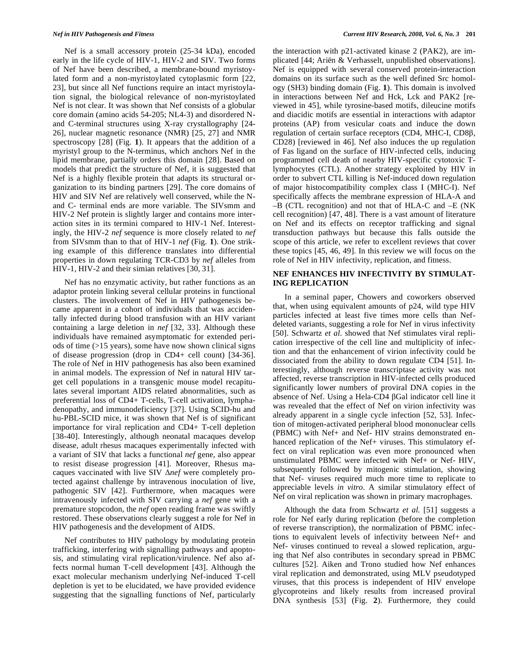Nef is a small accessory protein (25-34 kDa), encoded early in the life cycle of HIV-1, HIV-2 and SIV. Two forms of Nef have been described, a membrane-bound myristoylated form and a non-myristoylated cytoplasmic form [22, 23], but since all Nef functions require an intact myristoylation signal, the biological relevance of non-myristoylated Nef is not clear. It was shown that Nef consists of a globular core domain (amino acids 54-205; NL4-3) and disordered Nand C-terminal structures using X-ray crystallography [24- 26], nuclear magnetic resonance (NMR) [25, 27] and NMR spectroscopy [28] (Fig. **1**). It appears that the addition of a myristyl group to the N-terminus, which anchors Nef in the lipid membrane, partially orders this domain [28]. Based on models that predict the structure of Nef, it is suggested that Nef is a highly flexible protein that adapts its structural organization to its binding partners [29]. The core domains of HIV and SIV Nef are relatively well conserved, while the Nand C- terminal ends are more variable. The SIVsmm and HIV-2 Nef protein is slightly larger and contains more interaction sites in its termini compared to HIV-1 Nef. Interestingly, the HIV-2 *nef* sequence is more closely related to *nef* from SIVsmm than to that of HIV-1 *nef* (Fig. **1**). One striking example of this difference translates into differential properties in down regulating TCR-CD3 by *nef* alleles from HIV-1, HIV-2 and their simian relatives [30, 31].

 Nef has no enzymatic activity, but rather functions as an adaptor protein linking several cellular proteins in functional clusters. The involvement of Nef in HIV pathogenesis became apparent in a cohort of individuals that was accidentally infected during blood transfusion with an HIV variant containing a large deletion in *nef* [32, 33]. Although these individuals have remained asymptomatic for extended periods of time (>15 years), some have now shown clinical signs of disease progression (drop in CD4+ cell count) [34-36]. The role of Nef in HIV pathogenesis has also been examined in animal models. The expression of Nef in natural HIV target cell populations in a transgenic mouse model recapitulates several important AIDS related abnormalities, such as preferential loss of CD4+ T-cells, T-cell activation, lymphadenopathy, and immunodeficiency [37]. Using SCID-hu and hu-PBL-SCID mice, it was shown that Nef is of significant importance for viral replication and CD4+ T-cell depletion [38-40]. Interestingly, although neonatal macaques develop disease, adult rhesus macaques experimentally infected with a variant of SIV that lacks a functional *nef* gene, also appear to resist disease progression [41]. Moreover, Rhesus macaques vaccinated with live SIV  $\Delta$ *nef* were completely protected against challenge by intravenous inoculation of live, pathogenic SIV [42]. Furthermore, when macaques were intravenously infected with SIV carrying a *nef* gene with a premature stopcodon, the *nef* open reading frame was swiftly restored. These observations clearly suggest a role for Nef in HIV pathogenesis and the development of AIDS.

 Nef contributes to HIV pathology by modulating protein trafficking, interfering with signalling pathways and apoptosis, and stimulating viral replication/virulence. Nef also affects normal human T-cell development [43]. Although the exact molecular mechanism underlying Nef-induced T-cell depletion is yet to be elucidated, we have provided evidence suggesting that the signalling functions of Nef, particularly the interaction with p21-activated kinase 2 (PAK2), are implicated [44; Ariën & Verhasselt, unpublished observations]. Nef is equipped with several conserved protein-interaction domains on its surface such as the well defined Src homology (SH3) binding domain (Fig. **1**). This domain is involved in interactions between Nef and Hck, Lck and PAK2 [reviewed in 45], while tyrosine-based motifs, dileucine motifs and diacidic motifs are essential in interactions with adaptor proteins (AP) from vesicular coats and induce the down regulation of certain surface receptors (CD4, MHC-I, CD8 $\beta$ , CD28) [reviewed in 46]. Nef also induces the up regulation of Fas ligand on the surface of HIV-infected cells, inducing programmed cell death of nearby HIV-specific cytotoxic Tlymphocytes (CTL). Another strategy exploited by HIV in order to subvert CTL killing is Nef-induced down regulation of major histocompatibility complex class I (MHC-I). Nef specifically affects the membrane expression of HLA-A and –B (CTL recognition) and not that of HLA-C and –E (NK cell recognition) [47, 48]. There is a vast amount of literature on Nef and its effects on receptor trafficking and signal transduction pathways but because this falls outside the scope of this article, we refer to excellent reviews that cover these topics [45, 46, 49]. In this review we will focus on the role of Nef in HIV infectivity, replication, and fitness.

#### **NEF ENHANCES HIV INFECTIVITY BY STIMULAT-ING REPLICATION**

 In a seminal paper, Chowers and coworkers observed that, when using equivalent amounts of p24, wild type HIV particles infected at least five times more cells than Nefdeleted variants, suggesting a role for Nef in virus infectivity [50]. Schwartz *et al.* showed that Nef stimulates viral replication irrespective of the cell line and multiplicity of infection and that the enhancement of virion infectivity could be dissociated from the ability to down regulate CD4 [51]. Interestingly, although reverse transcriptase activity was not affected, reverse transcription in HIV-infected cells produced significantly lower numbers of proviral DNA copies in the absence of Nef. Using a Hela-CD4  $\beta$ Gal indicator cell line it was revealed that the effect of Nef on virion infectivity was already apparent in a single cycle infection [52, 53]. Infection of mitogen-activated peripheral blood mononuclear cells (PBMC) with Nef+ and Nef- HIV strains demonstrated enhanced replication of the Nef+ viruses. This stimulatory effect on viral replication was even more pronounced when unstimulated PBMC were infected with Nef+ or Nef- HIV, subsequently followed by mitogenic stimulation, showing that Nef- viruses required much more time to replicate to appreciable levels *in vitro*. A similar stimulatory effect of Nef on viral replication was shown in primary macrophages.

 Although the data from Schwartz *et al.* [51] suggests a role for Nef early during replication (before the completion of reverse transcription), the normalization of PBMC infections to equivalent levels of infectivity between Nef+ and Nef- viruses continued to reveal a slowed replication, arguing that Nef also contributes in secondary spread in PBMC cultures [52]. Aiken and Trono studied how Nef enhances viral replication and demonstrated, using MLV pseudotyped viruses, that this process is independent of HIV envelope glycoproteins and likely results from increased proviral DNA synthesis [53] (Fig. **2**). Furthermore, they could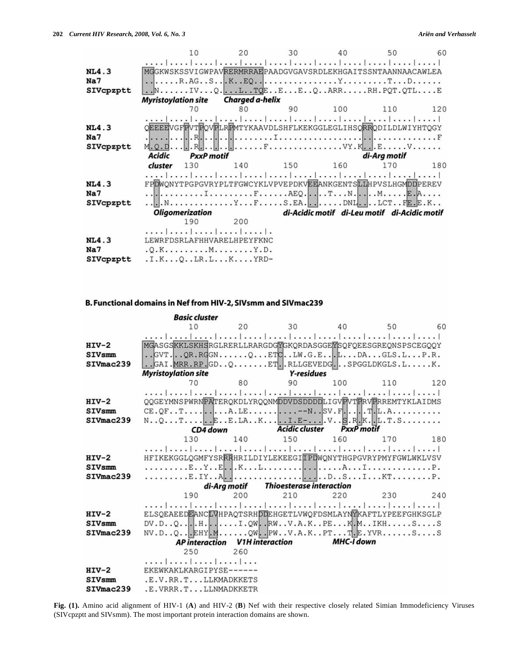|           | 10                                                           | 20  | 30  | 40           | 50                                           | 60  |  |  |  |
|-----------|--------------------------------------------------------------|-----|-----|--------------|----------------------------------------------|-----|--|--|--|
|           |                                                              |     |     |              |                                              |     |  |  |  |
| NL4.3     | MGGKWSKSSVIGWPAVRERMRRAEPAADGVGAVSRDLEKHGAITSSNTAANNAACAWLEA |     |     |              |                                              |     |  |  |  |
| Na7       |                                                              |     |     |              |                                              |     |  |  |  |
| SIVcpzptt | $\ldots$ NIVQLTQEEEQARRRH.PQT.QTLE                           |     |     |              |                                              |     |  |  |  |
|           | <b>Myristoylation site</b> Charged a-helix                   |     |     |              |                                              |     |  |  |  |
|           | 70                                                           | 80  | 90  | 100          | 110                                          | 120 |  |  |  |
|           |                                                              |     |     |              |                                              |     |  |  |  |
| NL4.3     | OEEEEVGFEVTFOVFLREMTYKAAVDLSHFLKEKGGLEGLIHSORRODILDLWIYHTOGY |     |     |              |                                              |     |  |  |  |
| Na7       |                                                              |     |     |              |                                              |     |  |  |  |
| SIVcpzptt |                                                              |     |     |              |                                              |     |  |  |  |
|           | Acidic<br><b>PxxP</b> motif                                  |     |     | di-Arg motif |                                              |     |  |  |  |
|           | cluster<br>130                                               | 140 | 150 | 160          | 170                                          | 180 |  |  |  |
|           |                                                              |     |     |              |                                              |     |  |  |  |
| NL4.3     | FPDWONYTPGPGVRYPLTFGWCYKLVPVEPDKVEEANKGENTSLLHPVSLHGMDDPEREV |     |     |              |                                              |     |  |  |  |
| Na7       |                                                              |     |     |              |                                              |     |  |  |  |
| SIVcpzptt | NYFS.EADNLLCTFE.E.K                                          |     |     |              |                                              |     |  |  |  |
|           | <b>Oligomerization</b>                                       |     |     |              | di-Acidic motif di-Leu motif di-Acidic motif |     |  |  |  |
|           | 190                                                          | 200 |     |              |                                              |     |  |  |  |
|           |                                                              |     |     |              |                                              |     |  |  |  |
| NL4.3     | LEWRFDSRLAFHHVARELHPEYFKNC                                   |     |     |              |                                              |     |  |  |  |
| Na7       | $. Q.K. M. Y.D.$                                             |     |     |              |                                              |     |  |  |  |
| SIVcpzptt | $.I.K. Q. .LR. L. K. YRD-$                                   |     |     |              |                                              |     |  |  |  |

## B. Functional domains in Nef from HIV-2, SIVsmm and SIVmac239

|               | <b>Basic cluster</b>                                                                       |         |                                       |                                           |     |     |  |  |  |
|---------------|--------------------------------------------------------------------------------------------|---------|---------------------------------------|-------------------------------------------|-----|-----|--|--|--|
|               | 10                                                                                         | 20      | 30                                    | 40                                        | 50  | 60  |  |  |  |
|               |                                                                                            |         |                                       |                                           |     |     |  |  |  |
| $HIV-2$       | MGASGSKKLSKHSRGLRERLLRARGDGYGKQRDASGGEYSQFQEESGREQNSPSCEGQQY                               |         |                                       |                                           |     |     |  |  |  |
| <b>SIVsmm</b> | $.SVT.$ QR.RGGNQ $ETC.$ .LW.G.E $L.$ DAGLS.LP.R.                                           |         |                                       |                                           |     |     |  |  |  |
| SIVmac239     | $.$ GAI. MRR. RP. GD. $. Q. \ldots$ . ET. RLLGEVEDG. $.$ SPGGLDKGLS. $L. \ldots$ . K.      |         |                                       |                                           |     |     |  |  |  |
|               | <b>Myristoylation site</b>                                                                 |         |                                       |                                           |     |     |  |  |  |
|               | 70                                                                                         | 80      | 90                                    | 100                                       | 110 | 120 |  |  |  |
|               |                                                                                            |         |                                       |                                           |     |     |  |  |  |
| $HIV-2$       | QQGEYMNSPWRNPATERQKDLYRQQNMDDVDSDDDDLIGVPVTFRVFRREMTYKLAIDMS                               |         |                                       |                                           |     |     |  |  |  |
| <b>SIVsmm</b> |                                                                                            |         |                                       |                                           |     |     |  |  |  |
| SIVmac239     |                                                                                            |         |                                       |                                           |     |     |  |  |  |
|               |                                                                                            |         |                                       | CD4 down Acidic cluster PxxP motif        |     |     |  |  |  |
|               | 130                                                                                        | 140 150 |                                       | 160                                       | 170 | 180 |  |  |  |
|               |                                                                                            |         |                                       |                                           |     |     |  |  |  |
| $HIV-2$       | HFIKEKGGLQGMFYSRRRHRILDIYLEKEEGITPDWQNYTHGPGVRYPMYFGWLWKLVSV                               |         |                                       |                                           |     |     |  |  |  |
| <b>SIVsmm</b> |                                                                                            |         |                                       |                                           |     |     |  |  |  |
| SIVmac239     |                                                                                            |         |                                       |                                           |     |     |  |  |  |
|               |                                                                                            |         | di-Arg motif Thioesterase interaction |                                           |     |     |  |  |  |
|               | 190                                                                                        | 200     | 210                                   | 220                                       | 230 | 240 |  |  |  |
|               | المتماضينا وتماحينا ويتباعدنا بتحيا بحبيا تحييا تميز انتصاحب المساحس                       |         |                                       |                                           |     |     |  |  |  |
| $HIV-2$       | ELSQEAEEDEANCLVHPAQTSRHDDEHGETLVWQFDSMLAYNYKAFTLYPEEFGHKSGLP                               |         |                                       |                                           |     |     |  |  |  |
| <b>SIVsmm</b> | $DV.D. Q.$ $H.$ I.QW $RW. V.A.K. P. E. K.M. . IKH. S. S$<br>NV.DQEHY.MQWPWV.A.KPTT.E.YVRSS |         |                                       |                                           |     |     |  |  |  |
| SIVmac239     |                                                                                            |         |                                       |                                           |     |     |  |  |  |
|               |                                                                                            |         |                                       | AP interaction V1H interaction MHC-I down |     |     |  |  |  |
|               | 250                                                                                        | 260     |                                       |                                           |     |     |  |  |  |
|               |                                                                                            |         |                                       |                                           |     |     |  |  |  |
| $HIV-2$       | EKEWKAKLKARGIPYSE------                                                                    |         |                                       |                                           |     |     |  |  |  |
| <b>SIVsmm</b> | .E.V.RR.TLLKMADKKETS                                                                       |         |                                       |                                           |     |     |  |  |  |
| SIVmac239     | .E.VRRR.TLLNMADKKETR                                                                       |         |                                       |                                           |     |     |  |  |  |

Fig. (1). Amino acid alignment of HIV-1 (A) and HIV-2 (B) Nef with their respective closely related Simian Immodeficiency Viruses (SIVcpzptt and SIVsmm). The most important protein interaction domains are shown.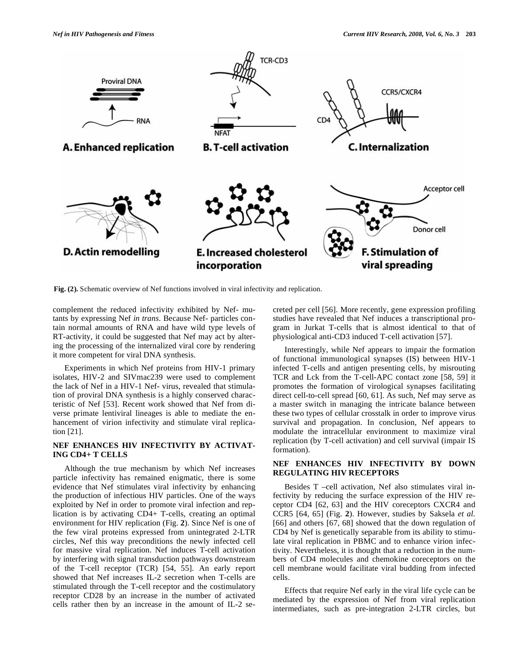

**Fig. (2).** Schematic overview of Nef functions involved in viral infectivity and replication.

complement the reduced infectivity exhibited by Nef- mutants by expressing Nef *in trans*. Because Nef- particles contain normal amounts of RNA and have wild type levels of RT-activity, it could be suggested that Nef may act by altering the processing of the internalized viral core by rendering it more competent for viral DNA synthesis.

 Experiments in which Nef proteins from HIV-1 primary isolates, HIV-2 and SIVmac239 were used to complement the lack of Nef in a HIV-1 Nef- virus, revealed that stimulation of proviral DNA synthesis is a highly conserved characteristic of Nef [53]. Recent work showed that Nef from diverse primate lentiviral lineages is able to mediate the enhancement of virion infectivity and stimulate viral replication [21].

## **NEF ENHANCES HIV INFECTIVITY BY ACTIVAT-ING CD4+ T CELLS**

 Although the true mechanism by which Nef increases particle infectivity has remained enigmatic, there is some evidence that Nef stimulates viral infectivity by enhancing the production of infectious HIV particles. One of the ways exploited by Nef in order to promote viral infection and replication is by activating CD4+ T-cells, creating an optimal environment for HIV replication (Fig. **2**). Since Nef is one of the few viral proteins expressed from unintegrated 2-LTR circles, Nef this way preconditions the newly infected cell for massive viral replication. Nef induces T-cell activation by interfering with signal transduction pathways downstream of the T-cell receptor (TCR) [54, 55]. An early report showed that Nef increases IL-2 secretion when T-cells are stimulated through the T-cell receptor and the costimulatory receptor CD28 by an increase in the number of activated cells rather then by an increase in the amount of IL-2 secreted per cell [56]. More recently, gene expression profiling studies have revealed that Nef induces a transcriptional program in Jurkat T-cells that is almost identical to that of physiological anti-CD3 induced T-cell activation [57].

 Interestingly, while Nef appears to impair the formation of functional immunological synapses (IS) between HIV-1 infected T-cells and antigen presenting cells, by misrouting TCR and Lck from the T-cell-APC contact zone [58, 59] it promotes the formation of virological synapses facilitating direct cell-to-cell spread [60, 61]. As such, Nef may serve as a master switch in managing the intricate balance between these two types of cellular crosstalk in order to improve virus survival and propagation. In conclusion, Nef appears to modulate the intracellular environment to maximize viral replication (by T-cell activation) and cell survival (impair IS formation).

## **NEF ENHANCES HIV INFECTIVITY BY DOWN REGULATING HIV RECEPTORS**

 Besides T –cell activation, Nef also stimulates viral infectivity by reducing the surface expression of the HIV receptor CD4 [62, 63] and the HIV coreceptors CXCR4 and CCR5 [64, 65] (Fig. **2**). However, studies by Saksela *et al.* [66] and others [67, 68] showed that the down regulation of CD4 by Nef is genetically separable from its ability to stimulate viral replication in PBMC and to enhance virion infectivity. Nevertheless, it is thought that a reduction in the numbers of CD4 molecules and chemokine coreceptors on the cell membrane would facilitate viral budding from infected cells.

 Effects that require Nef early in the viral life cycle can be mediated by the expression of Nef from viral replication intermediates, such as pre-integration 2-LTR circles, but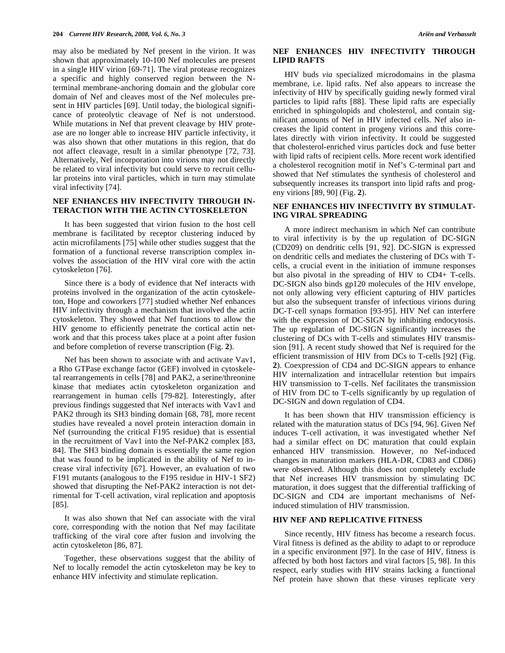may also be mediated by Nef present in the virion. It was shown that approximately 10-100 Nef molecules are present in a single HIV virion [69-71]. The viral protease recognizes a specific and highly conserved region between the Nterminal membrane-anchoring domain and the globular core domain of Nef and cleaves most of the Nef molecules present in HIV particles [69]. Until today, the biological significance of proteolytic cleavage of Nef is not understood. While mutations in Nef that prevent cleavage by HIV protease are no longer able to increase HIV particle infectivity, it was also shown that other mutations in this region, that do not affect cleavage, result in a similar phenotype [72, 73]. Alternatively, Nef incorporation into virions may not directly be related to viral infectivity but could serve to recruit cellular proteins into viral particles, which in turn may stimulate viral infectivity [74].

#### **NEF ENHANCES HIV INFECTIVITY THROUGH IN-TERACTION WITH THE ACTIN CYTOSKELETON**

 It has been suggested that virion fusion to the host cell membrane is facilitated by receptor clustering induced by actin microfilaments [75] while other studies suggest that the formation of a functional reverse transcription complex involves the association of the HIV viral core with the actin cytoskeleton [76].

 Since there is a body of evidence that Nef interacts with proteins involved in the organization of the actin cytoskeleton, Hope and coworkers [77] studied whether Nef enhances HIV infectivity through a mechanism that involved the actin cytoskeleton. They showed that Nef functions to allow the HIV genome to efficiently penetrate the cortical actin network and that this process takes place at a point after fusion and before completion of reverse transcription (Fig. **2**).

 Nef has been shown to associate with and activate Vav1, a Rho GTPase exchange factor (GEF) involved in cytoskeletal rearrangements in cells [78] and PAK2, a serine/threonine kinase that mediates actin cytoskeleton organization and rearrangement in human cells [79-82]. Interestingly, after previous findings suggested that Nef interacts with Vav1 and PAK2 through its SH3 binding domain [68, 78], more recent studies have revealed a novel protein interaction domain in Nef (surrounding the critical F195 residue) that is essential in the recruitment of Vav1 into the Nef-PAK2 complex [83, 84]. The SH3 binding domain is essentially the same region that was found to be implicated in the ability of Nef to increase viral infectivity [67]. However, an evaluation of two F191 mutants (analogous to the F195 residue in HIV-1 SF2) showed that disrupting the Nef-PAK2 interaction is not detrimental for T-cell activation, viral replication and apoptosis [85].

 It was also shown that Nef can associate with the viral core, corresponding with the notion that Nef may facilitate trafficking of the viral core after fusion and involving the actin cytoskeleton [86, 87].

 Together, these observations suggest that the ability of Nef to locally remodel the actin cytoskeleton may be key to enhance HIV infectivity and stimulate replication.

## **NEF ENHANCES HIV INFECTIVITY THROUGH LIPID RAFTS**

 HIV buds *via* specialized microdomains in the plasma membrane, i.e. lipid rafts. Nef also appears to increase the infectivity of HIV by specifically guiding newly formed viral particles to lipid rafts [88]. These lipid rafts are especially enriched in sphingolopids and cholesterol, and contain significant amounts of Nef in HIV infected cells. Nef also increases the lipid content in progeny virions and this correlates directly with virion infectivity. It could be suggested that cholesterol-enriched virus particles dock and fuse better with lipid rafts of recipient cells. More recent work identified a cholesterol recognition motif in Nef's C-terminal part and showed that Nef stimulates the synthesis of cholesterol and subsequently increases its transport into lipid rafts and progeny virions [89, 90] (Fig. **2**).

#### **NEF ENHANCES HIV INFECTIVITY BY STIMULAT-ING VIRAL SPREADING**

 A more indirect mechanism in which Nef can contribute to viral infectivity is by the up regulation of DC-SIGN (CD209) on dendritic cells [91, 92]. DC-SIGN is expressed on dendritic cells and mediates the clustering of DCs with Tcells, a crucial event in the initiation of immune responses but also pivotal in the spreading of HIV to CD4+ T-cells. DC-SIGN also binds gp120 molecules of the HIV envelope, not only allowing very efficient capturing of HIV particles but also the subsequent transfer of infectious virions during DC-T-cell synaps formation [93-95]. HIV Nef can interfere with the expression of DC-SIGN by inhibiting endocytosis. The up regulation of DC-SIGN significantly increases the clustering of DCs with T-cells and stimulates HIV transmission [91]. A recent study showed that Nef is required for the efficient transmission of HIV from DCs to T-cells [92] (Fig. **2**). Coexpression of CD4 and DC-SIGN appears to enhance HIV internalization and intracellular retention but impairs HIV transmission to T-cells. Nef facilitates the transmission of HIV from DC to T-cells significantly by up regulation of DC-SIGN and down regulation of CD4.

 It has been shown that HIV transmission efficiency is related with the maturation status of DCs [94, 96]. Given Nef induces T-cell activation, it was investigated whether Nef had a similar effect on DC maturation that could explain enhanced HIV transmission. However, no Nef-induced changes in maturation markers (HLA-DR, CD83 and CD86) were observed. Although this does not completely exclude that Nef increases HIV transmission by stimulating DC maturation, it does suggest that the differential trafficking of DC-SIGN and CD4 are important mechanisms of Nefinduced stimulation of HIV transmission.

#### **HIV NEF AND REPLICATIVE FITNESS**

 Since recently, HIV fitness has become a research focus. Viral fitness is defined as the ability to adapt to or reproduce in a specific environment [97]. In the case of HIV, fitness is affected by both host factors and viral factors [5, 98]. In this respect, early studies with HIV strains lacking a functional Nef protein have shown that these viruses replicate very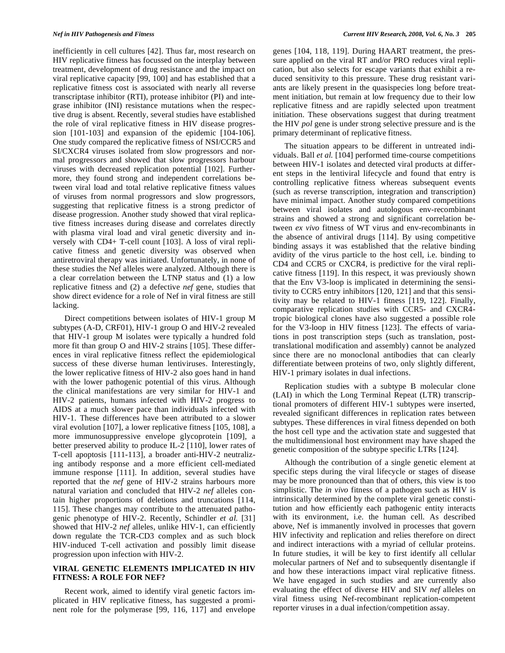inefficiently in cell cultures [42]. Thus far, most research on HIV replicative fitness has focussed on the interplay between treatment, development of drug resistance and the impact on viral replicative capacity [99, 100] and has established that a replicative fitness cost is associated with nearly all reverse transcriptase inhibitor (RTI), protease inhibitor (PI) and integrase inhibitor (INI) resistance mutations when the respective drug is absent. Recently, several studies have established the role of viral replicative fitness in HIV disease progression [101-103] and expansion of the epidemic [104-106]. One study compared the replicative fitness of NSI/CCR5 and SI/CXCR4 viruses isolated from slow progressors and normal progressors and showed that slow progressors harbour viruses with decreased replication potential [102]. Furthermore, they found strong and independent correlations between viral load and total relative replicative fitness values of viruses from normal progressors and slow progressors, suggesting that replicative fitness is a strong predictor of disease progression. Another study showed that viral replicative fitness increases during disease and correlates directly with plasma viral load and viral genetic diversity and inversely with CD4+ T-cell count [103]. A loss of viral replicative fitness and genetic diversity was observed when antiretroviral therapy was initiated. Unfortunately, in none of these studies the Nef alleles were analyzed. Although there is a clear correlation between the LTNP status and (1) a low replicative fitness and (2) a defective *nef* gene, studies that show direct evidence for a role of Nef in viral fitness are still lacking.

 Direct competitions between isolates of HIV-1 group M subtypes (A-D, CRF01), HIV-1 group O and HIV-2 revealed that HIV-1 group M isolates were typically a hundred fold more fit than group O and HIV-2 strains [105]. These differences in viral replicative fitness reflect the epidemiological success of these diverse human lentiviruses. Interestingly, the lower replicative fitness of HIV-2 also goes hand in hand with the lower pathogenic potential of this virus. Although the clinical manifestations are very similar for HIV-1 and HIV-2 patients, humans infected with HIV-2 progress to AIDS at a much slower pace than individuals infected with HIV-1. These differences have been attributed to a slower viral evolution [107], a lower replicative fitness [105, 108], a more immunosuppressive envelope glycoprotein [109], a better preserved ability to produce IL-2 [110], lower rates of T-cell apoptosis [111-113], a broader anti-HIV-2 neutralizing antibody response and a more efficient cell-mediated immune response [111]. In addition, several studies have reported that the *nef* gene of HIV-2 strains harbours more natural variation and concluded that HIV-2 *nef* alleles contain higher proportions of deletions and truncations [114, 115]. These changes may contribute to the attenuated pathogenic phenotype of HIV-2. Recently, Schindler *et al.* [31] showed that HIV-2 *nef* alleles, unlike HIV-1, can efficiently down regulate the TCR-CD3 complex and as such block HIV-induced T-cell activation and possibly limit disease progression upon infection with HIV-2.

#### **VIRAL GENETIC ELEMENTS IMPLICATED IN HIV FITNESS: A ROLE FOR NEF?**

 Recent work, aimed to identify viral genetic factors implicated in HIV replicative fitness, has suggested a prominent role for the polymerase [99, 116, 117] and envelope genes [104, 118, 119]. During HAART treatment, the pressure applied on the viral RT and/or PRO reduces viral replication, but also selects for escape variants that exhibit a reduced sensitivity to this pressure. These drug resistant variants are likely present in the quasispecies long before treatment initiation, but remain at low frequency due to their low replicative fitness and are rapidly selected upon treatment initiation. These observations suggest that during treatment the HIV *pol* gene is under strong selective pressure and is the primary determinant of replicative fitness.

 The situation appears to be different in untreated individuals. Ball *et al.* [104] performed time-course competitions between HIV-1 isolates and detected viral products at different steps in the lentiviral lifecycle and found that entry is controlling replicative fitness whereas subsequent events (such as reverse transcription, integration and transcription) have minimal impact. Another study compared competitions between viral isolates and autologous env-recombinant strains and showed a strong and significant correlation between *ex vivo* fitness of WT virus and env-recombinants in the absence of antiviral drugs [114]. By using competitive binding assays it was established that the relative binding avidity of the virus particle to the host cell, i.e. binding to CD4 and CCR5 or CXCR4, is predictive for the viral replicative fitness [119]. In this respect, it was previously shown that the Env V3-loop is implicated in determining the sensitivity to CCR5 entry inhibitors [120, 121] and that this sensitivity may be related to HIV-1 fitness [119, 122]. Finally, comparative replication studies with CCR5- and CXCR4 tropic biological clones have also suggested a possible role for the V3-loop in HIV fitness [123]. The effects of variations in post transcription steps (such as translation, posttranslational modification and assembly) cannot be analyzed since there are no monoclonal antibodies that can clearly differentiate between proteins of two, only slightly different, HIV-1 primary isolates in dual infections.

 Replication studies with a subtype B molecular clone (LAI) in which the Long Terminal Repeat (LTR) transcriptional promoters of different HIV-1 subtypes were inserted, revealed significant differences in replication rates between subtypes. These differences in viral fitness depended on both the host cell type and the activation state and suggested that the multidimensional host environment may have shaped the genetic composition of the subtype specific LTRs [124].

 Although the contribution of a single genetic element at specific steps during the viral lifecycle or stages of disease may be more pronounced than that of others, this view is too simplistic. The *in vivo* fitness of a pathogen such as HIV is intrinsically determined by the complete viral genetic constitution and how efficiently each pathogenic entity interacts with its environment, i.e. the human cell. As described above, Nef is immanently involved in processes that govern HIV infectivity and replication and relies therefore on direct and indirect interactions with a myriad of cellular proteins. In future studies, it will be key to first identify all cellular molecular partners of Nef and to subsequently disentangle if and how these interactions impact viral replicative fitness. We have engaged in such studies and are currently also evaluating the effect of diverse HIV and SIV *nef* alleles on viral fitness using Nef-recombinant replication-competent reporter viruses in a dual infection/competition assay.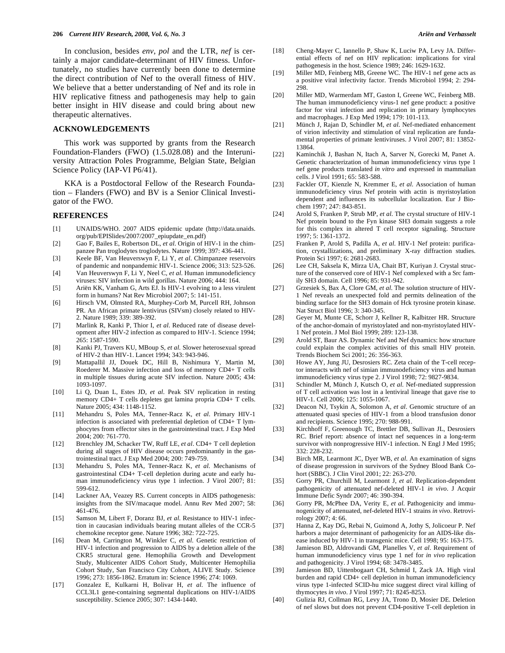In conclusion, besides *env*, *pol* and the LTR, *nef* is certainly a major candidate-determinant of HIV fitness. Unfortunately, no studies have currently been done to determine the direct contribution of Nef to the overall fitness of HIV. We believe that a better understanding of Nef and its role in HIV replicative fitness and pathogenesis may help to gain better insight in HIV disease and could bring about new therapeutic alternatives.

#### **ACKNOWLEDGEMENTS**

 This work was supported by grants from the Research Foundation-Flanders (FWO) (1.5.028.08) and the Interuniversity Attraction Poles Programme, Belgian State, Belgian Science Policy (IAP-VI P6/41).

 KKA is a Postdoctoral Fellow of the Research Foundation – Flanders (FWO) and BV is a Senior Clinical Investigator of the FWO.

#### **REFERENCES**

- [1] UNAIDS/WHO. 2007 AIDS epidemic update (http://data.unaids. org/pub/EPISlides/2007/2007\_epiupdate\_en.pdf)
- [2] Gao F, Bailes E, Robertson DL, *et al*. Origin of HIV-1 in the chimpanzee Pan troglodytes troglodytes. Nature 1999; 397: 436-441.
- [3] Keele BF, Van Heuverswyn F, Li Y, *et al*. Chimpanzee reservoirs of pandemic and nonpandemic HIV-1. Science 2006; 313: 523-526.
- [4] Van Heuverswyn F, Li Y, Neel C, *et al*. Human immunodeficiency viruses: SIV infection in wild gorillas. Nature 2006; 444: 164.
- [5] Ariën KK, Vanham G, Arts EJ. Is HIV-1 evolving to a less virulent form in humans? Nat Rev Microbiol 2007; 5: 141-151.
- [6] Hirsch VM, Olmsted RA, Murphey-Corb M, Purcell RH, Johnson PR. An African primate lentivirus (SIVsm) closely related to HIV-2. Nature 1989; 339: 389-392.
- [7] Marlink R, Kanki P, Thior I, *et al*. Reduced rate of disease development after HIV-2 infection as compared to HIV-1. Science 1994; 265: 1587-1590.
- [8] Kanki PJ, Travers KU, MBoup S, *et al*. Slower heterosexual spread of HIV-2 than HIV-1. Lancet 1994; 343: 943-946.
- [9] Mattapallil JJ, Douek DC, Hill B, Nishimura Y, Martin M, Roederer M. Massive infection and loss of memory CD4+ T cells in multiple tissues during acute SIV infection. Nature 2005; 434: 1093-1097.
- [10] Li Q, Duan L, Estes JD, *et al*. Peak SIV replication in resting memory CD4+ T cells depletes gut lamina propria CD4+ T cells. Nature 2005; 434: 1148-1152.
- [11] Mehandru S, Poles MA, Tenner-Racz K, *et al*. Primary HIV-1 infection is associated with preferential depletion of CD4+ T lymphocytes from effector sites in the gastrointestinal tract. J Exp Med 2004; 200: 761-770.
- [12] Brenchley JM, Schacker TW, Ruff LE, *et al*. CD4+ T cell depletion during all stages of HIV disease occurs predominantly in the gastrointestinal tract. J Exp Med 2004; 200: 749-759.
- [13] Mehandru S, Poles MA, Tenner-Racz K, *et al*. Mechanisms of gastrointestinal CD4+ T-cell depletion during acute and early human immunodeficiency virus type 1 infection. J Virol 2007; 81: 599-612.
- [14] Lackner AA, Veazey RS. Current concepts in AIDS pathogenesis: insights from the SIV/macaque model. Annu Rev Med 2007; 58: 461-476.
- [15] Samson M, Libert F, Doranz BJ, *et al*. Resistance to HIV-1 infection in caucasian individuals bearing mutant alleles of the CCR-5 chemokine receptor gene. Nature 1996; 382: 722-725.
- [16] Dean M, Carrington M, Winkler C, *et al*. Genetic restriction of HIV-1 infection and progression to AIDS by a deletion allele of the CKR5 structural gene. Hemophilia Growth and Development Study, Multicenter AIDS Cohort Study, Multicenter Hemophilia Cohort Study, San Francisco City Cohort, ALIVE Study. Science 1996; 273: 1856-1862. Erratum in: Science 1996; 274: 1069.
- [17] Gonzalez E, Kulkarni H, Bolivar H, *et al*. The influence of CCL3L1 gene-containing segmental duplications on HIV-1/AIDS susceptibility. Science 2005; 307: 1434-1440.
- [18] Cheng-Mayer C, Iannello P, Shaw K, Luciw PA, Levy JA. Differential effects of nef on HIV replication: implications for viral pathogenesis in the host. Science 1989; 246: 1629-1632.
- [19] Miller MD, Feinberg MB, Greene WC. The HIV-1 nef gene acts as a positive viral infectivity factor. Trends Microbiol 1994; 2: 294- 298.
- [20] Miller MD, Warmerdam MT, Gaston I, Greene WC, Feinberg MB. The human immunodeficiency virus-1 nef gene product: a positive factor for viral infection and replication in primary lymphocytes and macrophages. J Exp Med 1994; 179: 101-113.
- [21] Münch J, Rajan D, Schindler M, *et al*. Nef-mediated enhancement of virion infectivity and stimulation of viral replication are fundamental properties of primate lentiviruses. J Virol 2007; 81: 13852- 13864.
- [22] Kaminchik J, Bashan N, Itach A, Sarver N, Gorecki M, Panet A. Genetic characterization of human immunodeficiency virus type 1 nef gene products translated *in vitro* and expressed in mammalian cells. J Virol 1991; 65: 583-588.
- [23] Fackler OT, Kienzle N, Kremmer E, *et al*. Association of human immunodeficiency virus Nef protein with actin is myristoylation dependent and influences its subcellular localization. Eur J Biochem 1997; 247: 843-851.
- [24] Arold S, Franken P, Strub MP, *et al*. The crystal structure of HIV-1 Nef protein bound to the Fyn kinase SH3 domain suggests a role for this complex in altered T cell receptor signaling. Structure 1997; 5: 1361-1372.
- [25] Franken P, Arold S, Padilla A, *et al*. HIV-1 Nef protein: purification, crystallizations, and preliminary X-ray diffraction studies. Protein Sci 1997; 6: 2681-2683.
- [26] Lee CH, Saksela K, Mirza UA, Chait BT, Kuriyan J. Crystal structure of the conserved core of HIV-1 Nef complexed with a Src family SH3 domain. Cell 1996; 85: 931-942.
- [27] Grzesiek S, Bax A, Clore GM, *et al*. The solution structure of HIV-1 Nef reveals an unexpected fold and permits delineation of the binding surface for the SH3 domain of Hck tyrosine protein kinase. Nat Struct Biol 1996; 3: 340-345.
- [28] Geyer M, Munte CE, Schorr J, Kellner R, Kalbitzer HR. Structure of the anchor-domain of myristoylated and non-myristoylated HIV-1 Nef protein. J Mol Biol 1999; 289: 123-138.
- [29] Arold ST, Baur AS. Dynamic Nef and Nef dynamics: how structure could explain the complex activities of this small HIV protein. Trends Biochem Sci 2001; 26: 356-363.
- [30] Howe AY, Jung JU, Desrosiers RC. Zeta chain of the T-cell receptor interacts with nef of simian immunodeficiency virus and human immunodeficiency virus type 2. J Virol 1998; 72: 9827-9834.
- [31] Schindler M, Münch J, Kutsch O, *et al*. Nef-mediated suppression of T cell activation was lost in a lentiviral lineage that gave rise to HIV-1. Cell 2006; 125: 1055-1067.
- [32] Deacon NJ, Tsykin A, Solomon A, *et al*. Genomic structure of an attenuated quasi species of HIV-1 from a blood transfusion donor and recipients. Science 1995; 270: 988-991.
- [33] Kirchhoff F, Greenough TC, Brettler DB, Sullivan JL, Desrosiers RC. Brief report: absence of intact nef sequences in a long-term survivor with nonprogressive HIV-1 infection. N Engl J Med 1995; 332: 228-232.
- [34] Birch MR, Learmont JC, Dyer WB, *et al*. An examination of signs of disease progression in survivors of the Sydney Blood Bank Cohort (SBBC). J Clin Virol 2001; 22: 263-270.
- [35] Gorry PR, Churchill M, Learmont J, *et al*. Replication-dependent pathogenicity of attenuated nef-deleted HIV-1 *in vivo*. J Acquir Immune Defic Syndr 2007; 46: 390-394.
- [36] Gorry PR, McPhee DA, Verity E, *et al*. Pathogenicity and immunogenicity of attenuated, nef-deleted HIV-1 strains *in vivo*. Retrovirology 2007; 4: 66.
- [37] Hanna Z, Kay DG, Rebai N, Guimond A, Jothy S, Jolicoeur P. Nef harbors a major determinant of pathogenicity for an AIDS-like disease induced by HIV-1 in transgenic mice. Cell 1998; 95: 163-175.
- [38] Jamieson BD, Aldrovandi GM, Planelles V, *et al*. Requirement of human immunodeficiency virus type 1 nef for *in vivo* replication and pathogenicity. J Virol 1994; 68: 3478-3485.
- [39] Jamieson BD, Uittenbogaart CH, Schmid I, Zack JA. High viral burden and rapid CD4+ cell depletion in human immunodeficiency virus type 1-infected SCID-hu mice suggest direct viral killing of thymocytes *in vivo*. J Virol 1997; 71: 8245-8253.
- [40] Gulizia RJ, Collman RG, Levy JA, Trono D, Mosier DE. Deletion of nef slows but does not prevent CD4-positive T-cell depletion in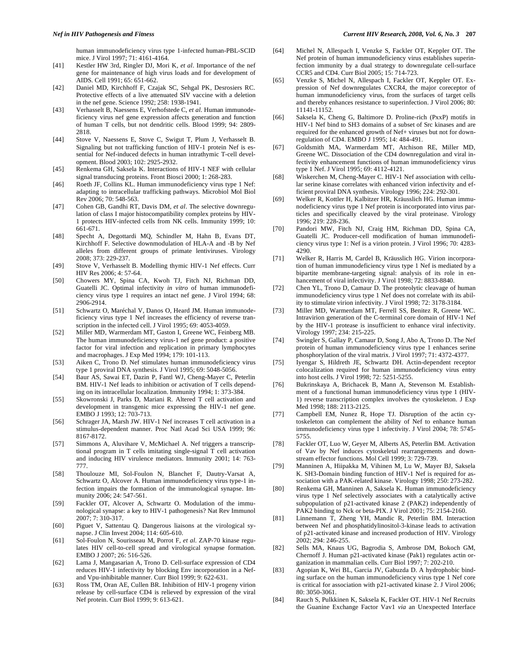human immunodeficiency virus type 1-infected human-PBL-SCID mice. J Virol 1997; 71: 4161-4164.

- [41] Kestler HW 3rd, Ringler DJ, Mori K, *et al*. Importance of the nef gene for maintenance of high virus loads and for development of AIDS. Cell 1991; 65: 651-662.
- [42] Daniel MD, Kirchhoff F, Czajak SC, Sehgal PK, Desrosiers RC. Protective effects of a live attenuated SIV vaccine with a deletion in the nef gene. Science 1992; 258: 1938-1941.
- [43] Verhasselt B, Naessens E, Verhofstede C, *et al*. Human immunodeficiency virus nef gene expression affects generation and function of human T cells, but not dendritic cells. Blood 1999; 94: 2809- 2818.
- [44] Stove V, Naessens E, Stove C, Swigut T, Plum J, Verhasselt B. Signaling but not trafficking function of HIV-1 protein Nef is essential for Nef-induced defects in human intrathymic T-cell development. Blood 2003; 102: 2925-2932.
- [45] Renkema GH, Saksela K. Interactions of HIV-1 NEF with cellular signal transducing proteins. Front Biosci 2000; 1: 268-283.
- [46] Roeth JF, Collins KL. Human immunodeficiency virus type 1 Nef: adapting to intracellular trafficking pathways. Microbiol Mol Biol Rev 2006; 70: 548-563.
- [47] Cohen GB, Gandhi RT, Davis DM, *et al*. The selective downregulation of class I major histocompatibility complex proteins by HIV-1 protects HIV-infected cells from NK cells. Immunity 1999; 10: 661-671.
- [48] Specht A, Degottardi MQ, Schindler M, Hahn B, Evans DT, Kirchhoff F. Selective downmodulation of HLA-A and -B by Nef alleles from different groups of primate lentiviruses. Virology 2008; 373: 229-237.
- [49] Stove V, Verhasselt B. Modelling thymic HIV-1 Nef effects. Curr HIV Res 2006; 4: 57-64.
- [50] Chowers MY, Spina CA, Kwoh TJ, Fitch NJ, Richman DD, Guatelli JC. Optimal infectivity *in vitro* of human immunodeficiency virus type 1 requires an intact nef gene. J Virol 1994; 68: 2906-2914.
- [51] Schwartz O, Maréchal V, Danos O, Heard JM. Human immunodeficiency virus type 1 Nef increases the efficiency of reverse transcription in the infected cell. J Virol 1995; 69: 4053-4059.
- [52] Miller MD, Warmerdam MT, Gaston I, Greene WC, Feinberg MB. The human immunodeficiency virus-1 nef gene product: a positive factor for viral infection and replication in primary lymphocytes and macrophages. J Exp Med 1994; 179: 101-113.
- [53] Aiken C, Trono D. Nef stimulates human immunodeficiency virus type 1 proviral DNA synthesis. J Virol 1995; 69: 5048-5056.
- [54] Baur AS, Sawai ET, Dazin P, Fantl WJ, Cheng-Mayer C, Peterlin BM. HIV-1 Nef leads to inhibition or activation of T cells depending on its intracellular localization. Immunity 1994; 1: 373-384.
- [55] Skowronski J, Parks D, Mariani R. Altered T cell activation and development in transgenic mice expressing the HIV-1 nef gene. EMBO J 1993; 12: 703-713.
- [56] Schrager JA, Marsh JW. HIV-1 Nef increases T cell activation in a stimulus-dependent manner. Proc Natl Acad Sci USA 1999; 96: 8167-8172.
- [57] Simmons A, Aluvihare V, McMichael A. Nef triggers a transcriptional program in T cells imitating single-signal T cell activation and inducing HIV virulence mediators. Immunity 2001; 14: 763- 777.
- [58] Thoulouze MI, Sol-Foulon N, Blanchet F, Dautry-Varsat A, Schwartz O, Alcover A. Human immunodeficiency virus type-1 infection impairs the formation of the immunological synapse. Immunity 2006; 24: 547-561.
- [59] Fackler OT, Alcover A, Schwartz O. Modulation of the immunological synapse: a key to HIV-1 pathogenesis? Nat Rev Immunol 2007; 7: 310-317.
- [60] Piguet V, Sattentau Q. Dangerous liaisons at the virological synapse. J Clin Invest 2004; 114: 605-610.
- [61] Sol-Foulon N, Sourisseau M, Porrot F, *et al*. ZAP-70 kinase regulates HIV cell-to-cell spread and virological synapse formation. EMBO J 2007; 26: 516-526.
- [62] Lama J, Mangasarian A, Trono D. Cell-surface expression of CD4 reduces HIV-1 infectivity by blocking Env incorporation in a Nefand Vpu-inhibitable manner. Curr Biol 1999; 9: 622-631.
- [63] Ross TM, Oran AE, Cullen BR. Inhibition of HIV-1 progeny virion release by cell-surface CD4 is relieved by expression of the viral Nef protein. Curr Biol 1999; 9: 613-621.
- [64] Michel N, Allespach I, Venzke S, Fackler OT, Keppler OT. The Nef protein of human immunodeficiency virus establishes superinfection immunity by a dual strategy to downregulate cell-surface CCR5 and CD4. Curr Biol 2005; 15: 714-723.
- [65] Venzke S, Michel N, Allespach I, Fackler OT, Keppler OT. Expression of Nef downregulates CXCR4, the major coreceptor of human immunodeficiency virus, from the surfaces of target cells and thereby enhances resistance to superinfection. J Virol 2006; 80: 11141-11152.
- [66] Saksela K, Cheng G, Baltimore D. Proline-rich (PxxP) motifs in HIV-1 Nef bind to SH3 domains of a subset of Src kinases and are required for the enhanced growth of Nef+ viruses but not for downregulation of CD4. EMBO J 1995; 14: 484-491.
- [67] Goldsmith MA, Warmerdam MT, Atchison RE, Miller MD, Greene WC. Dissociation of the CD4 downregulation and viral infectivity enhancement functions of human immunodeficiency virus type 1 Nef. J Virol 1995; 69: 4112-4121.
- [68] Wiskerchen M, Cheng-Mayer C. HIV-1 Nef association with cellular serine kinase correlates with enhanced virion infectivity and efficient proviral DNA synthesis. Virology 1996; 224: 292-301.
- [69] Welker R, Kottler H, Kalbitzer HR, Kräusslich HG. Human immunodeficiency virus type 1 Nef protein is incorporated into virus particles and specifically cleaved by the viral proteinase. Virology 1996; 219: 228-236.
- [70] Pandori MW, Fitch NJ, Craig HM, Richman DD, Spina CA, Guatelli JC. Producer-cell modification of human immunodeficiency virus type 1: Nef is a virion protein. J Virol 1996; 70: 4283- 4290.
- [71] Welker R, Harris M, Cardel B, Kräusslich HG. Virion incorporation of human immunodeficiency virus type 1 Nef is mediated by a bipartite membrane-targeting signal: analysis of its role in enhancement of viral infectivity. J Virol 1998; 72: 8833-8840.
- [72] Chen YL, Trono D, Camaur D. The proteolytic cleavage of human immunodeficiency virus type 1 Nef does not correlate with its ability to stimulate virion infectivity. J Virol 1998; 72: 3178-3184.
- [73] Miller MD, Warmerdam MT, Ferrell SS, Benitez R, Greene WC. Intravirion generation of the C-terminal core domain of HIV-1 Nef by the HIV-1 protease is insufficient to enhance viral infectivity. Virology 1997; 234: 215-225.
- [74] Swingler S, Gallay P, Camaur D, Song J, Abo A, Trono D. The Nef protein of human immunodeficiency virus type 1 enhances serine phosphorylation of the viral matrix. J Virol 1997; 71: 4372-4377.
- [75] Iyengar S, Hildreth JE, Schwartz DH. Actin-dependent receptor colocalization required for human immunodeficiency virus entry into host cells. J Virol 1998; 72: 5251-5255.
- [76] Bukrinskaya A, Brichacek B, Mann A, Stevenson M. Establishment of a functional human immunodeficiency virus type 1 (HIV-1) reverse transcription complex involves the cytoskeleton. J Exp Med 1998; 188: 2113-2125.
- [77] Campbell EM, Nunez R, Hope TJ. Disruption of the actin cytoskeleton can complement the ability of Nef to enhance human immunodeficiency virus type 1 infectivity. J Virol 2004; 78: 5745- 5755.
- [78] Fackler OT, Luo W, Geyer M, Alberts AS, Peterlin BM. Activation of Vav by Nef induces cytoskeletal rearrangements and downstream effector functions. Mol Cell 1999; 3: 729-739.
- [79] Manninen A, Hiipakka M, Vihinen M, Lu W, Mayer BJ, Saksela K. SH3-Domain binding function of HIV-1 Nef is required for association with a PAK-related kinase. Virology 1998; 250: 273-282.
- [80] Renkema GH, Manninen A, Saksela K. Human immunodeficiency virus type 1 Nef selectively associates with a catalytically active subpopulation of p21-activated kinase 2 (PAK2) independently of PAK2 binding to Nck or beta-PIX. J Virol 2001; 75: 2154-2160.
- [81] Linnemann T, Zheng YH, Mandic R, Peterlin BM. Interaction between Nef and phosphatidylinositol-3-kinase leads to activation of p21-activated kinase and increased production of HIV. Virology 2002; 294: 246-255.
- [82] Sells MA, Knaus UG, Bagrodia S, Ambrose DM, Bokoch GM, Chernoff J. Human p21-activated kinase (Pak1) regulates actin organization in mammalian cells. Curr Biol 1997; 7: 202-210.
- [83] Agopian K, Wei BL, Garcia JV, Gabuzda D. A hydrophobic binding surface on the human immunodeficiency virus type 1 Nef core is critical for association with p21-activated kinase 2. J Virol 2006; 80: 3050-3061.
- [84] Rauch S, Pulkkinen K, Saksela K, Fackler OT. HIV-1 Nef Recruits the Guanine Exchange Factor Vav1 *via* an Unexpected Interface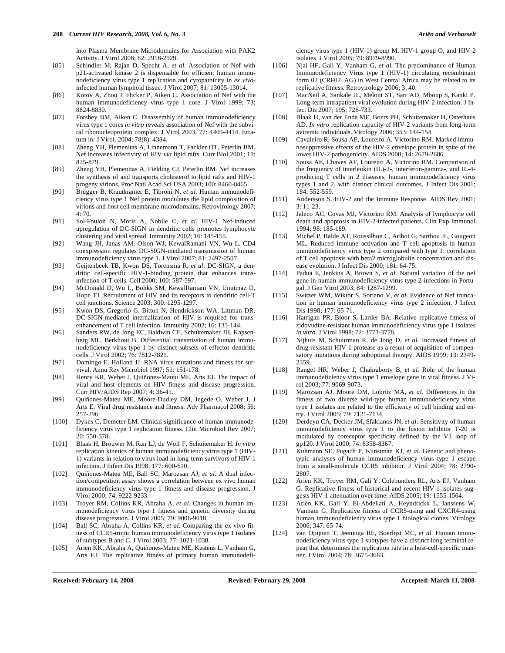into Plasma Membrane Microdomains for Association with PAK2 Activity. J Virol 2008; 82: 2918-2929.

- [85] Schindler M, Rajan D, Specht A, *et al*. Association of Nef with p21-activated kinase 2 is dispensable for efficient human immunodeficiency virus type 1 replication and cytopathicity in *ex vivo*infected human lymphoid tissue. J Virol 2007; 81: 13005-13014.
- [86] Kotov A, Zhou J, Flicker P, Aiken C. Association of Nef with the human immunodeficiency virus type 1 core. J Virol 1999; 73: 8824-8830.
- [87] Forshey BM, Aiken C. Disassembly of human immunodeficiency virus type 1 cores *in vitro* reveals association of Nef with the subviral ribonucleoprotein complex. J Virol 2003; 77: 4409-4414. Erratum in: J Virol. 2004; 78(8): 4384.
- [88] Zheng YH, Plemenitas A, Linnemann T, Fackler OT, Peterlin BM. Nef increases infectivity of HIV *via* lipid rafts. Curr Biol 2001; 11: 875-879.
- [89] Zheng YH, Plemenitas A, Fielding CJ, Peterlin BM. Nef increases the synthesis of and transports cholesterol to lipid rafts and HIV-1 progeny virions. Proc Natl Acad Sci USA 2003; 100: 8460-8465.
- [90] Brügger B, Krautkrämer E, Tibroni N, *et al*. Human immunodeficiency virus type 1 Nef protein modulates the lipid composition of virions and host cell membrane microdomains. Retrovirology 2007; 4: 70.
- [91] Sol-Foulon N, Moris A, Nobile C, *et al*. HIV-1 Nef-induced upregulation of DC-SIGN in dendritic cells promotes lymphocyte clustering and viral spread. Immunity 2002; 16: 145-155.
- [92] Wang JH, Janas AM, Olson WJ, KewalRamani VN, Wu L. CD4 coexpression regulates DC-SIGN-mediated transmission of human immunodeficiency virus type 1. J Virol 2007; 81: 2497-2507.
- [93] Geijtenbeek TB, Kwon DS, Torensma R, *et al*. DC-SIGN, a dendritic cell-specific HIV-1-binding protein that enhances transinfection of T cells. Cell 2000; 100: 587-597.
- [94] McDonald D, Wu L, Bohks SM, KewalRamani VN, Unutmaz D, Hope TJ. Recruitment of HIV and its receptors to dendritic cell-T cell junctions. Science 2003; 300: 1295-1297.
- [95] Kwon DS, Gregorio G, Bitton N, Hendrickson WA, Littman DR. DC-SIGN-mediated internalization of HIV is required for transenhancement of T cell infection. Immunity 2002; 16: 135-144.
- [96] Sanders RW, de Jong EC, Baldwin CE, Schuitemaker JH, Kapsenberg ML, Berkhout B. Differential transmission of human immunodeficiency virus type 1 by distinct subsets of effector dendritic cells. J Virol 2002; 76: 7812-7821.
- [97] Domingo E, Holland JJ. RNA virus mutations and fitness for survival. Annu Rev Microbiol 1997; 51: 151-178.
- [98] Henry KR, Weber J, Quiñones-Mateu ME, Arts EJ. The impact of viral and host elements on HIV fitness and disease progression. Curr HIV/AIDS Rep 2007; 4: 36-41.
- [99] Quiñones-Mateu ME, Moore-Dudley DM, Jegede O, Weber J, J Arts E. Viral drug resistance and fitness. Adv Pharmacol 2008; 56: 257-296.
- [100] Dykes C, Demeter LM. Clinical significance of human immunodeficiency virus type 1 replication fitness. Clin Microbiol Rev 2007; 20: 550-578.
- [101] Blaak H, Brouwer M, Ran LJ, de Wolf F, Schuitemaker H. *In vitro* replication kinetics of human immunodeficiency virus type 1 (HIV-1) variants in relation to virus load in long-term survivors of HIV-1 infection. J Infect Dis 1998; 177: 600-610.
- [102] Quiñones-Mateu ME, Ball SC, Marozsan AJ, *et al*. A dual infection/competition assay shows a correlation between ex vivo human immunodeficiency virus type 1 fitness and disease progression. J Virol 2000; 74: 9222-9233.
- [103] Troyer RM, Collins KR, Abraha A, *et al*. Changes in human immunodeficiency virus type 1 fitness and genetic diversity during disease progression. J Virol 2005; 79: 9006-9018.
- [104] Ball SC, Abraha A, Collins KR, *et al*. Comparing the ex vivo fitness of CCR5-tropic human immunodeficiency virus type 1 isolates of subtypes B and C. J Virol 2003; 77: 1021-1038.
- [105] Ariën KK, Abraha A, Quiñones-Mateu ME, Kestens L, Vanham G, Arts EJ. The replicative fitness of primary human immunodefi-

ciency virus type 1 (HIV-1) group M, HIV-1 group O, and HIV-2 isolates. J Virol 2005; 79: 8979-8990.

- [106] Njai HF, Gali Y, Vanham G, *et al*. The predominance of Human Immunodeficiency Virus type 1 (HIV-1) circulating recombinant form 02 (CRF02\_AG) in West Central Africa may be related to its replicative fitness. Retrovirology 2006; 3: 40.
- [107] MacNeil A, Sankale JL, Meloni ST, Sarr AD, Mboup S, Kanki P. Long-term intrapatient viral evolution during HIV-2 infection. J Infect Dis 2007; 195: 726-733.
- [108] Blaak H, van der Ende ME, Boers PH, Schuitemaker H, Osterhaus AD. *In vitro* replication capacity of HIV-2 variants from long-term aviremic individuals. Virology 2006; 353: 144-154.
- [109] Cavaleiro R, Sousa AE, Loureiro A, Victorino RM. Marked immunosuppressive effects of the HIV-2 envelope protein in spite of the lower HIV-2 pathogenicity. AIDS 2000; 14: 2679-2686.
- [110] Sousa AE, Chaves AF, Loureiro A, Victorino RM. Comparison of the frequency of interleukin (IL)-2-, interferon-gamma-, and IL-4 producing T cells in 2 diseases, human immunodeficiency virus types 1 and 2, with distinct clinical outcomes. J Infect Dis 2001; 184: 552-559.
- [111] Andersson S. HIV-2 and the Immune Response. AIDS Rev 2001; 3: 11-23.
- [112] Jaleco AC, Covas MJ, Victorino RM. Analysis of lymphocyte cell death and apoptosis in HIV-2-infected patients. Clin Exp Immunol 1994; 98: 185-189.
- [113] Michel P, Balde AT, Roussilhon C, Aribot G, Sarthou JL, Gougeon ML. Reduced immune activation and T cell apoptosis in human immunodeficiency virus type 2 compared with type 1: correlation of T cell apoptosis with beta2 microglobulin concentration and disease evolution. J Infect Dis 2000; 181: 64-75.
- [114] Padua E, Jenkins A, Brown S, *et al*. Natural variation of the nef gene in human immunodeficiency virus type 2 infections in Portugal. J Gen Virol 2003; 84: 1287-1299.
- [115] Switzer WM, Wiktor S, Soriano V, *et al*. Evidence of Nef truncation in human immunodeficiency virus type 2 infection. J Infect Dis 1998; 177: 65-71.
- [116] Harrigan PR, Bloor S, Larder BA. Relative replicative fitness of zidovudine-resistant human immunodeficiency virus type 1 isolates *in vitro*. J Virol 1998; 72: 3773-3778.
- [117] Nijhuis M, Schuurman R, de Jong D, *et al*. Increased fitness of drug resistant HIV-1 protease as a result of acquisition of compensatory mutations during suboptimal therapy. AIDS 1999; 13: 2349- 2359.
- [118] Rangel HR, Weber J, Chakraborty B, *et al*. Role of the human immunodeficiency virus type 1 envelope gene in viral fitness. J Virol 2003; 77: 9069-9073.
- [119] Marozsan AJ, Moore DM, Lobritz MA, *et al*. Differences in the fitness of two diverse wild-type human immunodeficiency virus type 1 isolates are related to the efficiency of cell binding and entry. J Virol 2005; 79: 7121-7134.
- [120] Derdeyn CA, Decker JM, Sfakianos JN, *et al*. Sensitivity of human immunodeficiency virus type 1 to the fusion inhibitor T-20 is modulated by coreceptor specificity defined by the V3 loop of gp120. J Virol 2000; 74: 8358-8367.
- [121] Kuhmann SE, Pugach P, Kunstman KJ, *et al*. Genetic and phenotypic analyses of human immunodeficiency virus type 1 escape from a small-molecule CCR5 inhibitor. J Virol 2004; 78: 2790- 2807.
- [122] Ariën KK, Troyer RM, Gali Y, Colebunders RL, Arts EJ, Vanham G. Replicative fitness of historical and recent HIV-1 isolates suggests HIV-1 attenuation over time. AIDS 2005; 19: 1555-1564.
- [123] Ariën KK, Gali Y, El-Abdellati A, Heyndrickx L, Janssens W, Vanham G. Replicative fitness of CCR5-using and CXCR4-using human immunodeficiency virus type 1 biological clones. Virology 2006; 347: 65-74.
- [124] van Opijnen T, Jeeninga RE, Boerlijst MC, *et al*. Human immunodeficiency virus type 1 subtypes have a distinct long terminal repeat that determines the replication rate in a host-cell-specific manner. J Virol 2004; 78: 3675-3683.